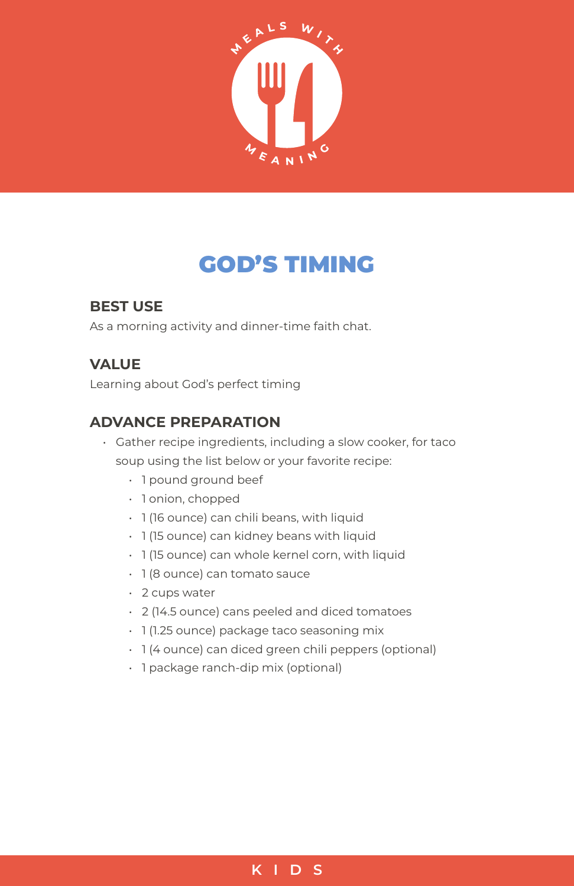

# GOD'S TIMING

## **BEST USE**

As a morning activity and dinner-time faith chat.

## **VALUE**

Learning about God's perfect timing

### **ADVANCE PREPARATION**

- Gather recipe ingredients, including a slow cooker, for taco soup using the list below or your favorite recipe:
	- 1 pound ground beef
	- 1 onion, chopped
	- 1 (16 ounce) can chili beans, with liquid
	- 1 (15 ounce) can kidney beans with liquid
	- 1 (15 ounce) can whole kernel corn, with liquid
	- 1 (8 ounce) can tomato sauce
	- 2 cups water
	- 2 (14.5 ounce) cans peeled and diced tomatoes
	- 1 (1.25 ounce) package taco seasoning mix
	- 1 (4 ounce) can diced green chili peppers (optional)
	- 1 package ranch-dip mix (optional)